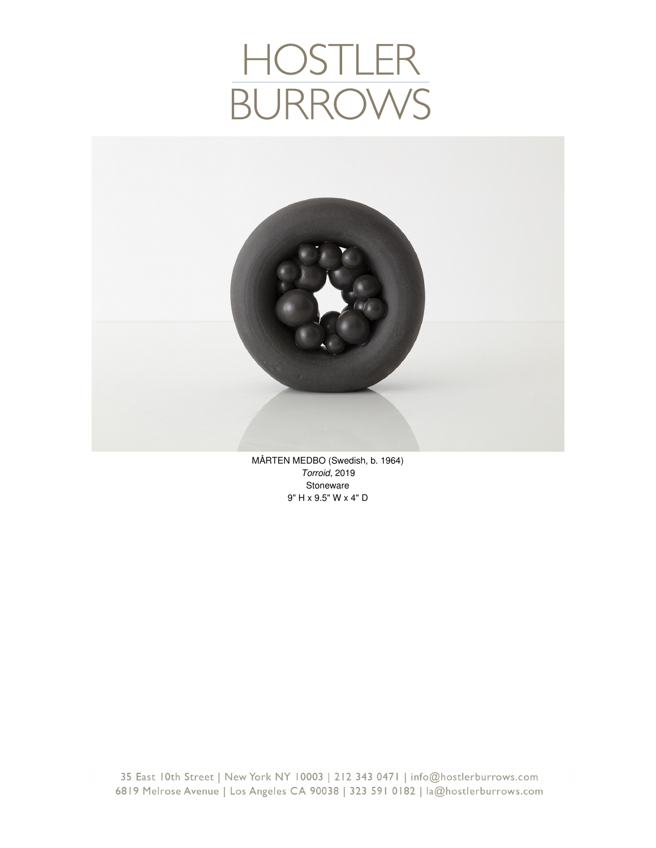# HOSTLER<br>BURROWS



MÅRTEN MEDBO (Swedish, b. 1964) *Torroid*, 2019 Stoneware 9" H x 9.5" W x 4" D

35 East 10th Street | New York NY 10003 | 212 343 0471 | info@hostlerburrows.com 6819 Melrose Avenue | Los Angeles CA 90038 | 323 591 0182 | la@hostlerburrows.com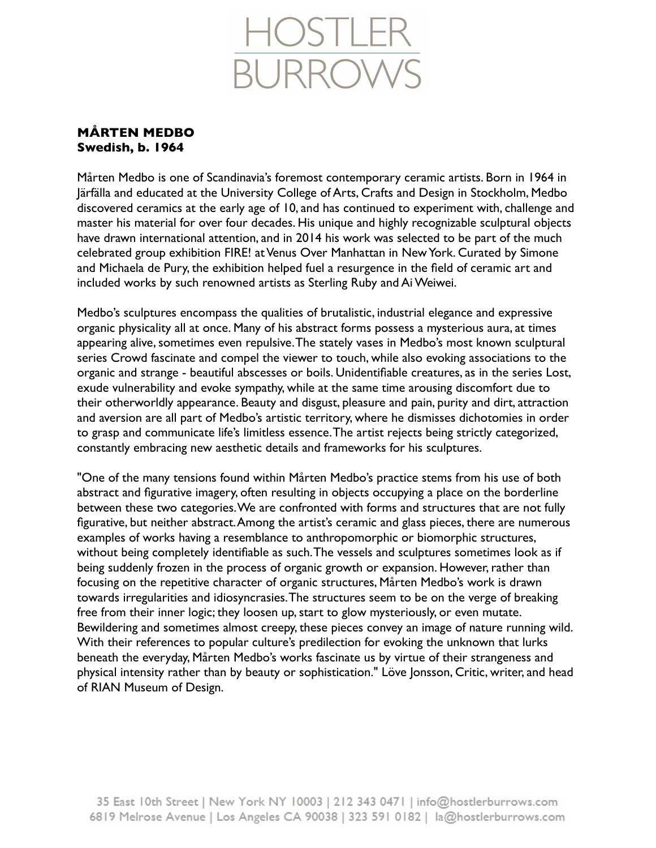

## **MÅRTEN MEDBO Swedish, b. 1964**

Mårten Medbo is one of Scandinavia's foremost contemporary ceramic artists. Born in 1964 in Järfälla and educated at the University College of Arts, Crafts and Design in Stockholm, Medbo discovered ceramics at the early age of 10, and has continued to experiment with, challenge and master his material for over four decades. His unique and highly recognizable sculptural objects have drawn international attention, and in 2014 his work was selected to be part of the much celebrated group exhibition FIRE! at Venus Over Manhattan in New York. Curated by Simone and Michaela de Pury, the exhibition helped fuel a resurgence in the field of ceramic art and included works by such renowned artists as Sterling Ruby and Ai Weiwei.

Medbo's sculptures encompass the qualities of brutalistic, industrial elegance and expressive organic physicality all at once. Many of his abstract forms possess a mysterious aura, at times appearing alive, sometimes even repulsive. The stately vases in Medbo's most known sculptural series Crowd fascinate and compel the viewer to touch, while also evoking associations to the organic and strange - beautiful abscesses or boils. Unidentifiable creatures, as in the series Lost, exude vulnerability and evoke sympathy, while at the same time arousing discomfort due to their otherworldly appearance. Beauty and disgust, pleasure and pain, purity and dirt, attraction and aversion are all part of Medbo's artistic territory, where he dismisses dichotomies in order to grasp and communicate life's limitless essence. The artist rejects being strictly categorized, constantly embracing new aesthetic details and frameworks for his sculptures.

"One of the many tensions found within Mårten Medbo's practice stems from his use of both abstract and figurative imagery, often resulting in objects occupying a place on the borderline between these two categories. We are confronted with forms and structures that are not fully figurative, but neither abstract. Among the artist's ceramic and glass pieces, there are numerous examples of works having a resemblance to anthropomorphic or biomorphic structures, without being completely identifiable as such. The vessels and sculptures sometimes look as if being suddenly frozen in the process of organic growth or expansion. However, rather than focusing on the repetitive character of organic structures, Mårten Medbo's work is drawn towards irregularities and idiosyncrasies. The structures seem to be on the verge of breaking free from their inner logic; they loosen up, start to glow mysteriously, or even mutate. Bewildering and sometimes almost creepy, these pieces convey an image of nature running wild. With their references to popular culture's predilection for evoking the unknown that lurks beneath the everyday, Mårten Medbo's works fascinate us by virtue of their strangeness and physical intensity rather than by beauty or sophistication." Löve Jonsson, Critic, writer, and head of RIAN Museum of Design.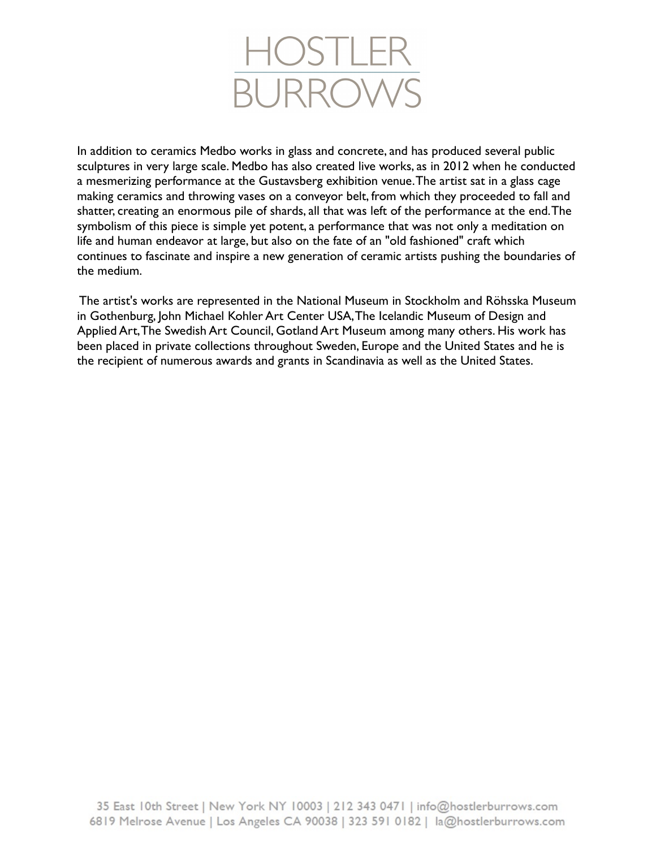

In addition to ceramics Medbo works in glass and concrete, and has produced several public sculptures in very large scale. Medbo has also created live works, as in 2012 when he conducted a mesmerizing performance at the Gustavsberg exhibition venue. The artist sat in a glass cage making ceramics and throwing vases on a conveyor belt, from which they proceeded to fall and shatter, creating an enormous pile of shards, all that was left of the performance at the end. The symbolism of this piece is simple yet potent, a performance that was not only a meditation on life and human endeavor at large, but also on the fate of an "old fashioned" craft which continues to fascinate and inspire a new generation of ceramic artists pushing the boundaries of the medium.

 The artist's works are represented in the National Museum in Stockholm and Röhsska Museum in Gothenburg, John Michael Kohler Art Center USA, The Icelandic Museum of Design and Applied Art, The Swedish Art Council, Gotland Art Museum among many others. His work has been placed in private collections throughout Sweden, Europe and the United States and he is the recipient of numerous awards and grants in Scandinavia as well as the United States.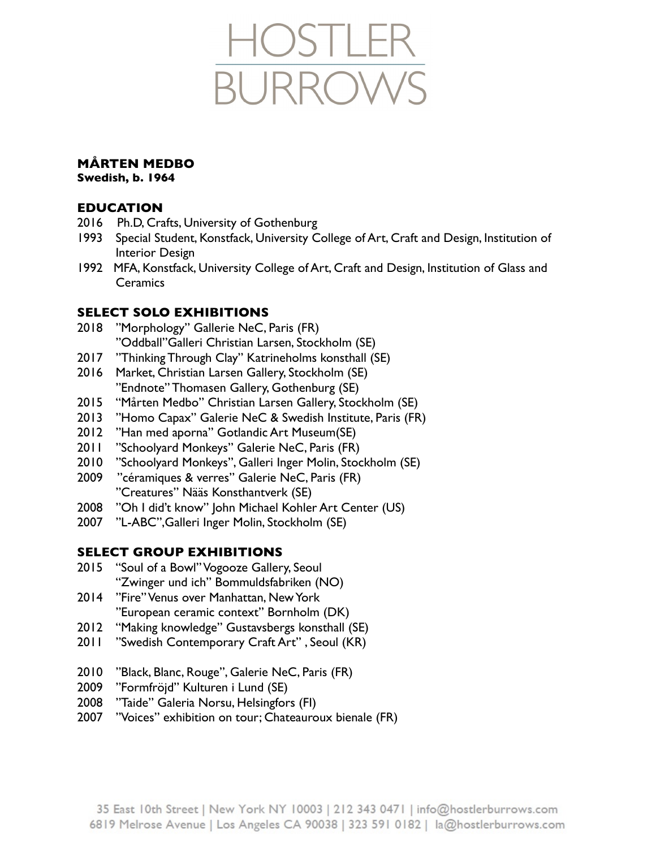

# **MÅRTEN MEDBO**

**Swedish, b. 1964**

#### **EDUCATION**

- 2016 Ph.D, Crafts, University of Gothenburg
- 1993 Special Student, Konstfack, University College of Art, Craft and Design, Institution of Interior Design
- 1992 MFA, Konstfack, University College of Art, Craft and Design, Institution of Glass and **Ceramics**

#### **SELECT SOLO EXHIBITIONS**

- 2018 "Morphology" Gallerie NeC, Paris (FR) "Oddball"Galleri Christian Larsen, Stockholm (SE)
- 2017 "Thinking Through Clay" Katrineholms konsthall (SE)
- 2016 Market, Christian Larsen Gallery, Stockholm (SE) "Endnote" Thomasen Gallery, Gothenburg (SE)
- 2015 "Mårten Medbo" Christian Larsen Gallery, Stockholm (SE)
- 2013 "Homo Capax" Galerie NeC & Swedish Institute, Paris (FR)
- 2012 "Han med aporna" Gotlandic Art Museum(SE)
- 2011 "Schoolyard Monkeys" Galerie NeC, Paris (FR)
- 2010 "Schoolyard Monkeys", Galleri Inger Molin, Stockholm (SE)
- 2009 "céramiques & verres" Galerie NeC, Paris (FR) "Creatures" Nääs Konsthantverk (SE)
- 2008 "Oh I did't know" John Michael Kohler Art Center (US)
- 2007 "L-ABC",Galleri Inger Molin, Stockholm (SE)

#### **SELECT GROUP EXHIBITIONS**

- 2015 "Soul of a Bowl" Vogooze Gallery, Seoul "Zwinger und ich" Bommuldsfabriken (NO)
- 2014 "Fire" Venus over Manhattan, New York "European ceramic context" Bornholm (DK)
- 2012 "Making knowledge" Gustavsbergs konsthall (SE)
- 2011 "Swedish Contemporary Craft Art", Seoul (KR)
- 2010 "Black, Blanc, Rouge", Galerie NeC, Paris (FR)
- 2009 "Formfröjd" Kulturen i Lund (SE)
- 2008 "Taide" Galeria Norsu, Helsingfors (FI)
- 2007 "Voices" exhibition on tour; Chateauroux bienale (FR)